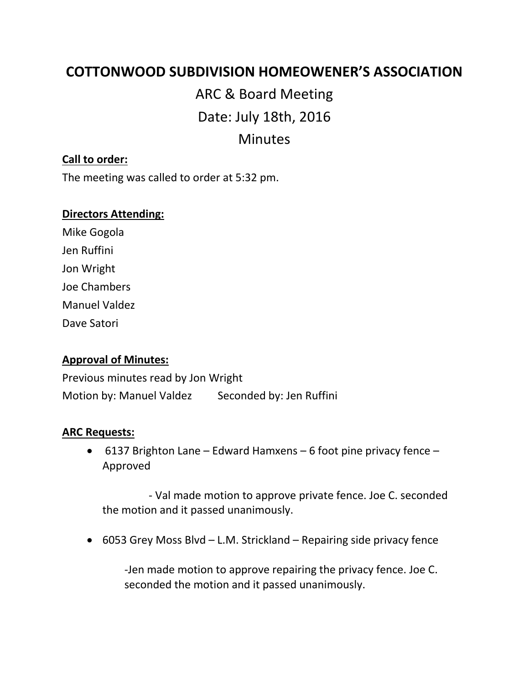# **COTTONWOOD SUBDIVISION HOMEOWENER'S ASSOCIATION**

ARC & Board Meeting Date: July 18th, 2016 Minutes

## **Call to order:**

The meeting was called to order at 5:32 pm.

#### **Directors Attending:**

Mike Gogola Jen Ruffini Jon Wright Joe Chambers Manuel Valdez Dave Satori

### **Approval of Minutes:**

Previous minutes read by Jon Wright Motion by: Manuel Valdez Seconded by: Jen Ruffini

#### **ARC Requests:**

• 6137 Brighton Lane – Edward Hamxens – 6 foot pine privacy fence – Approved

 - Val made motion to approve private fence. Joe C. seconded the motion and it passed unanimously.

• 6053 Grey Moss Blvd – L.M. Strickland – Repairing side privacy fence

-Jen made motion to approve repairing the privacy fence. Joe C. seconded the motion and it passed unanimously.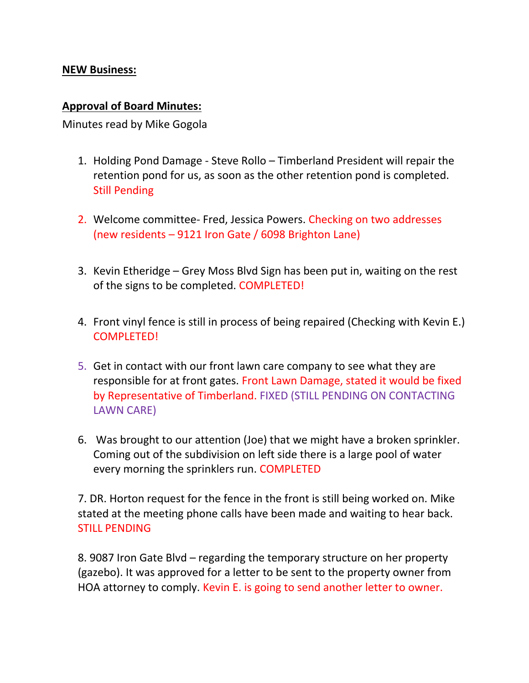# **NEW Business:**

## **Approval of Board Minutes:**

Minutes read by Mike Gogola

- 1. Holding Pond Damage Steve Rollo Timberland President will repair the retention pond for us, as soon as the other retention pond is completed. Still Pending
- 2. Welcome committee- Fred, Jessica Powers. Checking on two addresses (new residents – 9121 Iron Gate / 6098 Brighton Lane)
- 3. Kevin Etheridge Grey Moss Blvd Sign has been put in, waiting on the rest of the signs to be completed. COMPLETED!
- 4. Front vinyl fence is still in process of being repaired (Checking with Kevin E.) COMPLETED!
- 5. Get in contact with our front lawn care company to see what they are responsible for at front gates. Front Lawn Damage, stated it would be fixed by Representative of Timberland. FIXED (STILL PENDING ON CONTACTING LAWN CARE)
- 6. Was brought to our attention (Joe) that we might have a broken sprinkler. Coming out of the subdivision on left side there is a large pool of water every morning the sprinklers run. COMPLETED

7. DR. Horton request for the fence in the front is still being worked on. Mike stated at the meeting phone calls have been made and waiting to hear back. STILL PENDING

8. 9087 Iron Gate Blvd – regarding the temporary structure on her property (gazebo). It was approved for a letter to be sent to the property owner from HOA attorney to comply. Kevin E. is going to send another letter to owner.